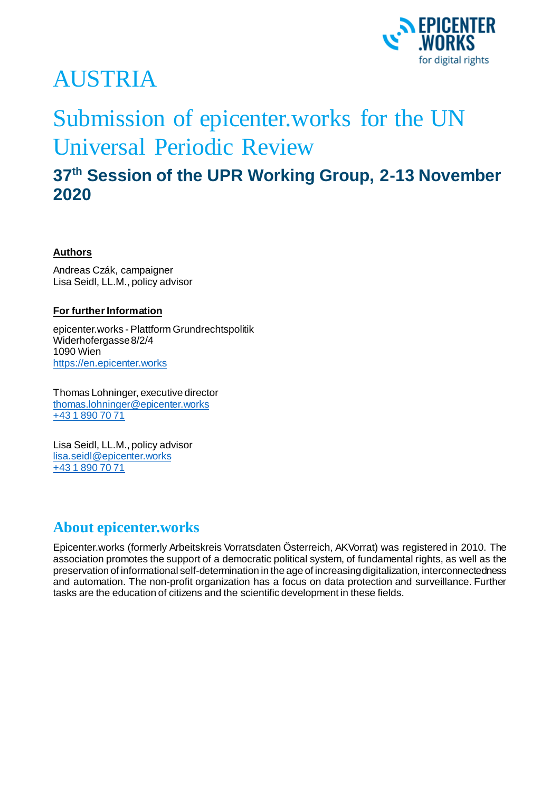

# AUSTRIA

## Submission of epicenter.works for the UN Universal Periodic Review

## **37th Session of the UPR Working Group, 2-13 November 2020**

#### **Authors**

Andreas Czák, campaigner Lisa Seidl, LL.M., policy advisor

#### **For further Information**

epicenter.works - Plattform Grundrechtspolitik Widerhofergasse 8/2/4 1090 Wien [https://en.epicenter.works](https://en.epicenter.works/)

Thomas Lohninger, executive director [thomas.lohninger@epicenter.works](mailto:thomas.lohninger@epicenter.works) [+43 1 890 70 71](tel:+4318907071)

Lisa Seidl, LL.M., policy advisor [lisa.seidl@epicenter.works](mailto:lisa.seidl@epicenter.works) [+43 1 890 70 71](tel:+4318907071)

### **About epicenter.works**

Epicenter.works (formerly Arbeitskreis Vorratsdaten Österreich, AKVorrat) was registered in 2010. The association promotes the support of a democratic political system, of fundamental rights, as well as the preservation of informational self-determination in the age of increasing digitalization, interconnectedness and automation. The non-profit organization has a focus on data protection and surveillance. Further tasks are the education of citizens and the scientific development in these fields.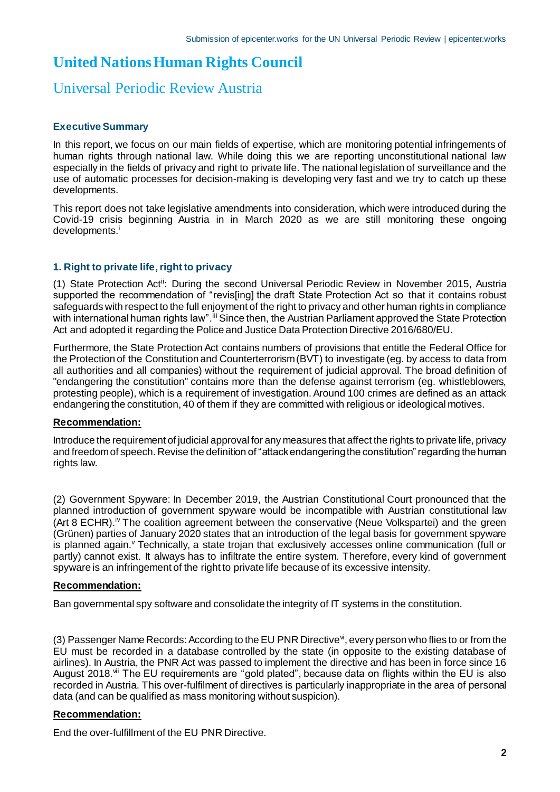## **United Nations Human Rights Council**

### Universal Periodic Review Austria

#### **Executive Summary**

In this report, we focus on our main fields of expertise, which are monitoring potential infringements of human rights through national law. While doing this we are reporting unconstitutional national law especially in the fields of privacy and right to private life. The national legislation of surveillance and the use of automatic processes for decision-making is developing very fast and we try to catch up these developments.

This report does not take legislative amendments into consideration, which were introduced during the Covid-19 crisis beginning Austria in in March 2020 as we are still monitoring these ongoing developments.<sup>i</sup>

#### **1. Right to private life, right to privacy**

(1) State Protection Actii: During the second Universal Periodic Review in November 2015, Austria supported the recommendation of "revis[ing] the draft State Protection Act so that it contains robust safeguards with respect to the full enjoyment of the right to privacy and other human rights in compliance with international human rights law".<sup>iii</sup> Since then, the Austrian Parliament approved the State Protection Act and adopted it regarding the Police and Justice Data Protection Directive 2016/680/EU.

Furthermore, the State Protection Act contains numbers of provisions that entitle the Federal Office for the Protection of the Constitution and Counterterrorism (BVT) to investigate (eg. by access to data from all authorities and all companies) without the requirement of judicial approval. The broad definition of "endangering the constitution" contains more than the defense against terrorism (eg. whistleblowers, protesting people), which is a requirement of investigation. Around 100 crimes are defined as an attack endangering the constitution, 40 of them if they are committed with religious or ideological motives.

#### **Recommendation:**

Introduce the requirement of judicial approval for any measures that affect the rights to private life, privacy and freedom of speech. Revise the definition of "attack endangering the constitution" regarding the human rights law.

(2) Government Spyware: In December 2019, the Austrian Constitutional Court pronounced that the planned introduction of government spyware would be incompatible with Austrian constitutional law (Art 8 ECHR).<sup>iv</sup> The coalition agreement between the conservative (Neue Volkspartei) and the green (Grünen) parties of January 2020 states that an introduction of the legal basis for government spyware is planned again.<sup>v</sup> Technically, a state trojan that exclusively accesses online communication (full or partly) cannot exist. It always has to infiltrate the entire system. Therefore, every kind of government spyware is an infringement of the right to private life because of its excessive intensity.

#### **Recommendation:**

Ban governmental spy software and consolidate the integrity of IT systems in the constitution.

(3) Passenger Name Records: According to the EU PNR Directive<sup>vi</sup>, every person who flies to or from the EU must be recorded in a database controlled by the state (in opposite to the existing database of airlines). In Austria, the PNR Act was passed to implement the directive and has been in force since 16 August 2018.<sup>vii</sup> The EU requirements are "gold plated", because data on flights within the EU is also recorded in Austria. This over-fulfilment of directives is particularly inappropriate in the area of personal data (and can be qualified as mass monitoring without suspicion).

#### **Recommendation:**

End the over-fulfillment of the EU PNR Directive.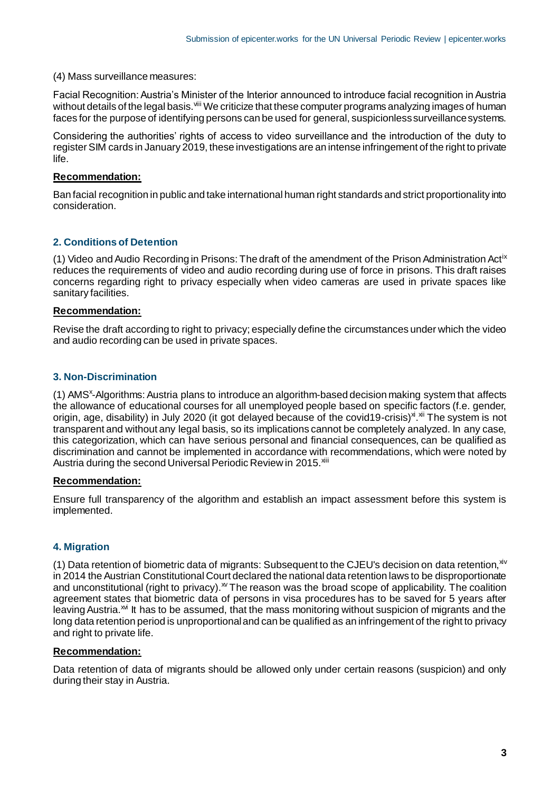(4) Mass surveillance measures:

Facial Recognition: Austria's Minister of the Interior announced to introduce facial recognition in Austria without details of the legal basis.<sup>viii</sup> We criticize that these computer programs analyzing images of human faces for the purpose of identifying persons can be used for general, suspicionless surveillance systems.

Considering the authorities' rights of access to video surveillance and the introduction of the duty to register SIM cards in January 2019, these investigations are an intense infringement of the right to private life.

#### **Recommendation:**

Ban facial recognition in public and take international human right standards and strict proportionality into consideration.

#### **2. Conditions of Detention**

(1) Video and Audio Recording in Prisons: The draft of the amendment of the Prison Administration Actix reduces the requirements of video and audio recording during use of force in prisons. This draft raises concerns regarding right to privacy especially when video cameras are used in private spaces like sanitary facilities.

#### **Recommendation:**

Revise the draft according to right to privacy; especially define the circumstances under which the video and audio recording can be used in private spaces.

#### **3. Non-Discrimination**

(1) AMS<sup>x</sup>-Algorithms: Austria plans to introduce an algorithm-based decision making system that affects the allowance of educational courses for all unemployed people based on specific factors (f.e. gender, origin, age, disability) in July 2020 (it got delayed because of the covid19-crisis)<sup>xi xii</sup> The system is not transparent and without any legal basis, so its implications cannot be completely analyzed. In any case, this categorization, which can have serious personal and financial consequences, can be qualified as discrimination and cannot be implemented in accordance with recommendations, which were noted by Austria during the second Universal Periodic Review in 2015.<sup>Xiii</sup>

#### **Recommendation:**

Ensure full transparency of the algorithm and establish an impact assessment before this system is implemented.

#### **4. Migration**

(1) Data retention of biometric data of migrants: Subsequent to the CJEU's decision on data retention.  $x^{\text{iv}}$ in 2014 the Austrian Constitutional Court declared the national data retention laws to be disproportionate and unconstitutional (right to privacy).<sup>xv</sup> The reason was the broad scope of applicability. The coalition agreement states that biometric data of persons in visa procedures has to be saved for 5 years after leaving Austria.<sup> $M$ </sup> It has to be assumed, that the mass monitoring without suspicion of migrants and the long data retention period is unproportional and can be qualified as an infringement of the right to privacy and right to private life.

#### **Recommendation:**

Data retention of data of migrants should be allowed only under certain reasons (suspicion) and only during their stay in Austria.